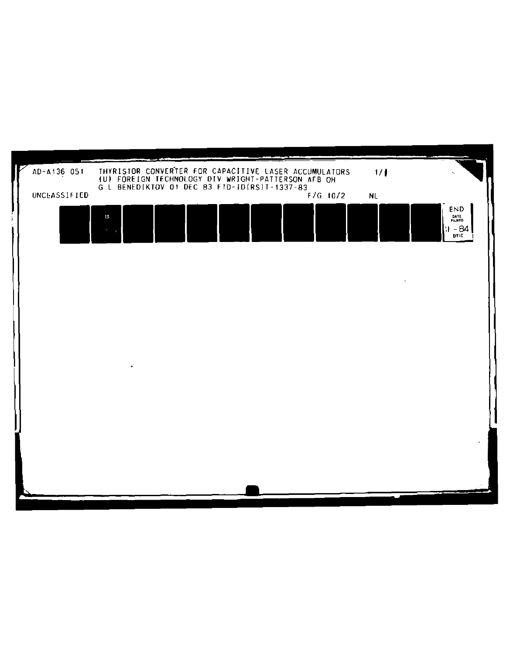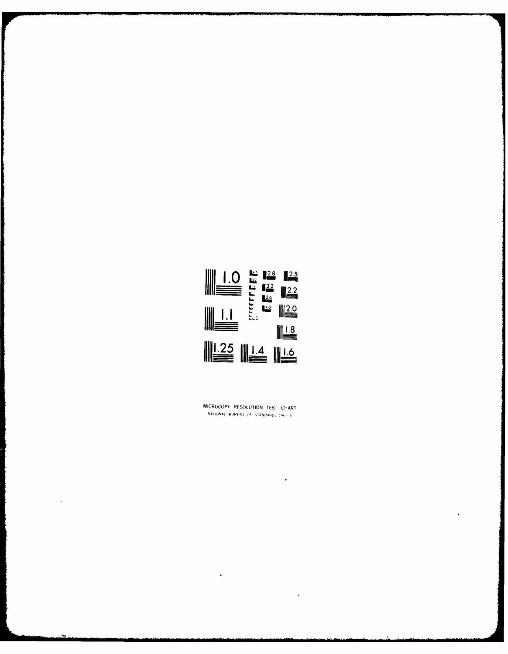

MICROCOPY RESOLUTION TEST CHART NATIONAL BUREAU OF STANDARDS J96-FA

 $\ddot{\phantom{0}}$ 

 $\ddot{\phantom{1}}$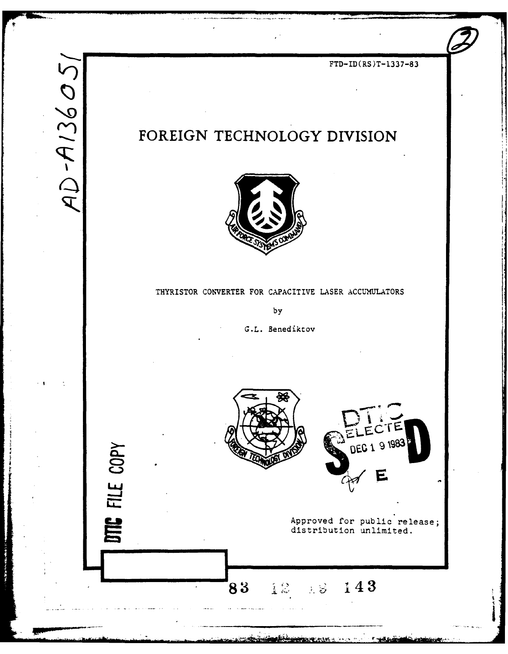# FTD-ID(RS)T-1337-83 **2FOREIGN TECHNOLOGY DIVISION**



### THYRISTOR CONVERTER FOR CAPACITIVE LASER **ACCUMULATORS**

by

**G.L.** Benediktov

**-.. 83 i? .K 143**

**MARIO STEAM AND AND ARRAIGNMENT** 

FILE COPY

**SIx**



**~Approved for public release;** distribution u

 $\sim$  4%  $\sigma$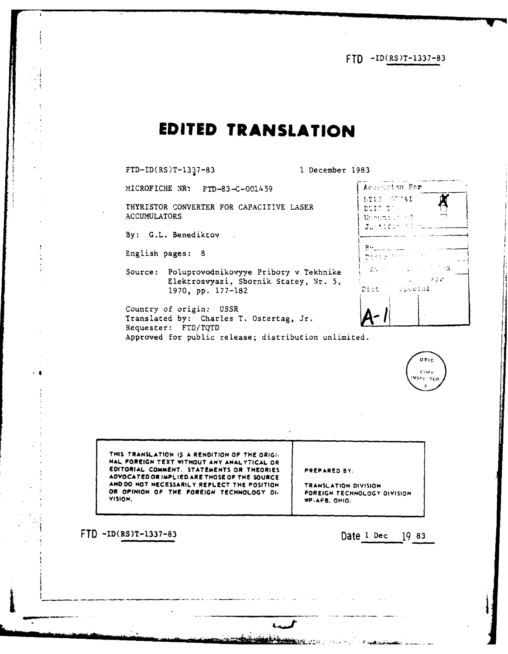FTD -ID(RS)T-1337-83

# **EDITED TRANSLATION**

FTD-ID(RS)T-1337-83 **I** December **1983**

**MICROFICHE NR: FTD-83-C-001459** 

THYRISTOR CONVERTER FOR CAPACITIVE LASER **ACCUMULATORS**

By: G.L. Benediktov .

English pages: 8

 $\cdot$ 

Source: Poluprovodnikovyye Pribory v Tekhnike **"** Elektrosvyazi. Sbornik Statey, **Nr. 5, - 1970, pp.** 177-182 **Zi:** - *,c'IJ.*

Country of origin: USSR Translated **by:** Charles T. Ostertag, Jr. Requester: FTD/TQTD Approved for public release; distribution unlimited.

|                | Acception For |              |
|----------------|---------------|--------------|
| MTIS STARI     |               |              |
| DTIC TIL       |               |              |
| Unanno 1996    |               |              |
|                | Justifie time |              |
|                |               |              |
| $B_{\text{M}}$ |               |              |
|                |               |              |
| $L^2$          |               | - 3          |
|                |               | . <b>. 7</b> |
| Dist           | pposal        |              |
|                |               |              |
|                |               |              |
|                |               |              |



**THIS TRANSLATION IA A RENDITION OF THE ORIGI. HAL FOREIGN TEXT WITHOUT ANY ANALYTICAL OR EDITORIAL COMMENT. STATEMENTS OR THEORIES PREPARED BY: ADVOCATED OR IMPLIED ARE THOSE OF THE SOURCE ANDOO NOT NECESSARILY REFLECT THE POSITION TRANSLATION DIVISION OR OPINION OF THE FOREIGN TECHNOLOGY DI. FOREIGN TECHNOLOGY DIVISION VISION. WP.AFG, OHIO.**

**CONSTRUCTION OF A PROPERTY OF A PARTICULAR CONSTRUCTION** 

FTD -ID(RS)T-1337-83 Date **I** Dec 19 83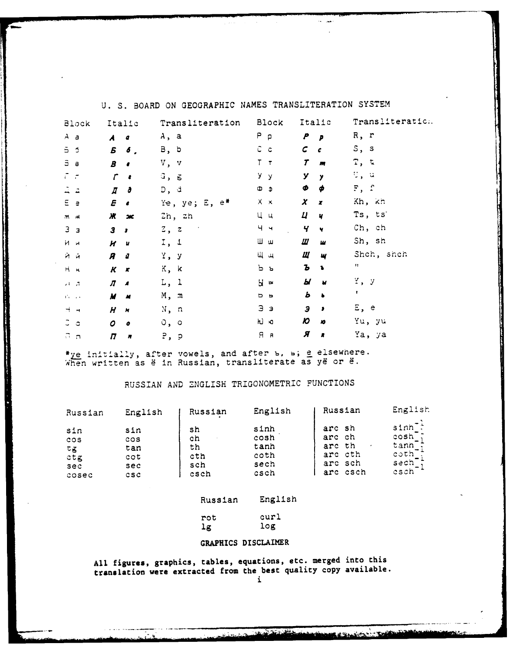| Block           | Italic                           | Transliteration                   | <b>Block</b>   | Italic                                              | Transliteratic:    |
|-----------------|----------------------------------|-----------------------------------|----------------|-----------------------------------------------------|--------------------|
| $A$ a           | $\overline{A}$<br>a              | A, a                              | $P \rho$       | P<br>P                                              | R, r               |
| 55              | Б<br>$\delta$ ,                  | B, b                              | C c            | $\mathcal{C}$<br>$\epsilon$                         | S, s               |
| Э а             | $\boldsymbol{B}$<br>$\bullet$    | v, v                              | $T$ $T$        | T<br>$\overline{m}$                                 | <b>Τ, τ</b>        |
| ೯ ಕ             | $\mathcal{L}$<br>$\bullet$       | $G$ , $g$                         | y y            | У<br>$\mathbf{y}$                                   | ೮, ಇ               |
| ユュ              | $\overline{a}$<br>ð              | D, d                              | Ф Ф            | Φ<br>φ                                              | F, f               |
| E e             | E<br>$\bullet$                   | Ye, ye; E, $e^*$                  | $X \times$     | $\boldsymbol{x}$<br>$\boldsymbol{x}$                | Kh, kh             |
| $M$ $M$         | Ж<br>200                         | Zh, zh                            | Цц             | $\boldsymbol{\mu}$<br>$\frac{1}{2}$                 | Ts, ts             |
| 3 <sub>3</sub>  | 3<br>$\cdot$                     | $z$ , $z$<br>$\sim$ 10 $^{\circ}$ | $4 - 4$        | Ч<br>$\blacktriangledown$                           | Ch, ch             |
| Ии              | $\boldsymbol{H}$<br>u            | I, 1                              | Шш             | Ш<br>ш                                              | Sh, sh             |
| йй              | R<br>ū                           | $Y$ , $Y$                         | Щщ             | Щ<br>W                                              | Shch, shch         |
| $H - H$         | $\boldsymbol{K}$<br>$\mathbf{x}$ | K, k                              | ь ь            | Ъ<br>$\bullet$                                      | $\pmb{\mathsf{H}}$ |
| $-1$ $-1$       | Л<br>$\overline{\mathbf{A}}$     | L, 1                              | $H^-$          | Ы<br>$\overline{\mathbf{M}}$                        | У, у               |
| The con-        | M<br>M                           | M, m                              | D <sub>b</sub> | Ь<br>$\blacktriangleright$                          | т.                 |
| $H \rightarrow$ | H<br>N                           | N, n                              | Ээ             | Э<br>$\bullet$                                      | E, e               |
| J a             | 0<br>$\pmb{\sigma}$              | o, o                              | hJ ю           | $\boldsymbol{\mathcal{D}}$<br>$\boldsymbol{\kappa}$ | Yu, yu             |
| $n_{\rm n}$     | $\boldsymbol{\pi}$<br>n          | P. p                              | $H$ $A$        | Я<br>$\pmb{\pi}$                                    | Ya, ya             |

U. S. BOARD ON GEOGRAPHIC NAMES TRANSLITERATION SYSTEM

 $\mathbf{A}$  and  $\mathbf{A}$ 

\*ye initially, after vowels, and after b, b; e elsewhere.<br>When written as ë in Russian, transliterate as yë or ë.

 $\mathcal{L}(\mathcal{L}(\mathcal{L}(\mathcal{L}(\mathcal{L}(\mathcal{L}(\mathcal{L}(\mathcal{L}(\mathcal{L}(\mathcal{L}(\mathcal{L}(\mathcal{L}(\mathcal{L}(\mathcal{L}(\mathcal{L}(\mathcal{L}(\mathcal{L}(\mathcal{L}(\mathcal{L}(\mathcal{L}(\mathcal{L}(\mathcal{L}(\mathcal{L}(\mathcal{L}(\mathcal{L}(\mathcal{L}(\mathcal{L}(\mathcal{L}(\mathcal{L}(\mathcal{L}(\mathcal{L}(\mathcal{L}(\mathcal{L}(\mathcal{L}(\mathcal{L}(\mathcal{L}(\mathcal{$ 

## RUSSIAN AND ENGLISH TRIGONOMETRIC FUNCTIONS

| Russian | English | Russian | English | Russian  | English     |
|---------|---------|---------|---------|----------|-------------|
| sin     | sin     | sh      | sinh    | arc sh   | $sinh^{-1}$ |
| cos     | cos     | ch      | cosh    | arc ch   | $\cosh^{-}$ |
| でる      | tan     | th      | tanh    | arc th   | tann;       |
| ctg     | cot     | cth     | coth    | arc cth  | $\coth$ ;   |
| sec     | sec     | sch     | sech    | arc sch  | sech        |
| cosec   | csc     | csch    | csch    | arc csch | esch        |

### English Russian

| rot | curl |  |
|-----|------|--|
| 1g  | log  |  |

### GRAPHICS DISCLAIMER

All figures, graphics, tables, equations, etc. merged into this translation were extracted from the best quality copy available.

a i maria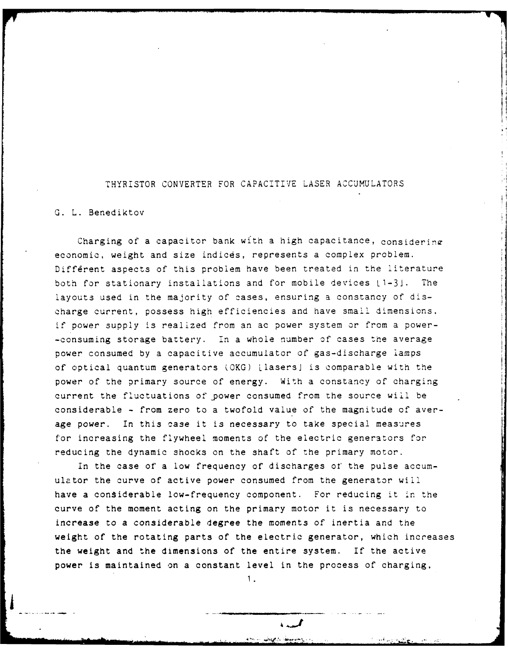### THYRISTOR CONVERTER FOR CAPACITIVE LASER ACCUMULATORS

### G. L. Benediktov

Charging of a capacitor bank with a high capacitance, considering economic, weight and size indices, represents a complex problem. Different aspects of this problem have been treated in the literature both for stationary installations and for mobile devices  $\lfloor 1-3 \rfloor$ . The layouts used in the majority of cases, ensuring a constancy of discharge current, possess high efficiencies and have small dimensions. if power supply is realized from an ac power system or from a power- -consuming storage battery. In a whole number of cases the average power consumed by a capacitive accumulator of gas-discharge lamps of optical quantum generators (OKG) LlasersJ is comparable with the power of the primary source of energy. With a constancy of charging current the fluctuations of power consumed from the source will be considerable - from zero to a twofold value of the magnitude of average power. In this case it is necessary to take special measures for increasing the flywheel moments of the electric generators for reducing the dynamic shocks on the shaft of the primary motor.

In the case of a low frequency of discharges of the pulse accumulator the curve of active power consumed from the generator will have a considerable low-frequency component. For reducing it in the curve of the moment acting on the primary motor it is necessary to increase to a considerable degree the moments of inertia and the weight of the rotating parts of the electric generator, which increases the weight and the dimensions of the entire system. If the active power is maintained on a constant level in the process of charging,

1.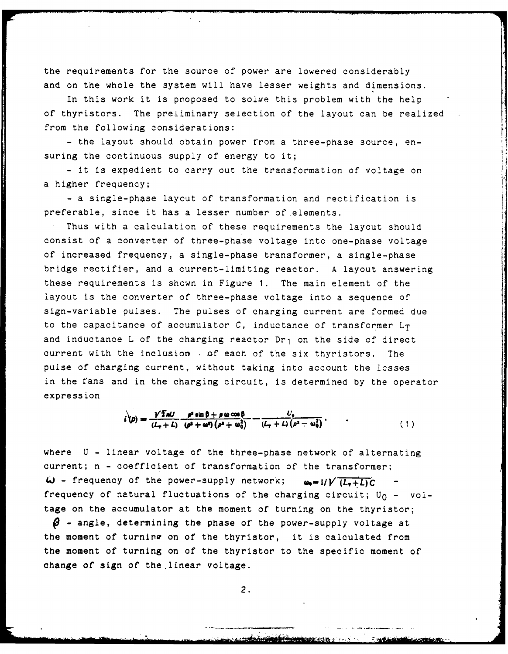the requirements for the source of power are lowered considerably and on the whole the system will have lesser weights and dimensions.

In this work it is proposed to soive this problem with the help of thyristors. The preliminary selection of the layout can be realized from the following considerations:

- the layout should obtain power from a three-phase source, ensuring the continuous supply of energy to it;

- it is expedient to carry out the transformation of voltage on a higher frequency;

- a single-phase layout of transformation and rectification is preferable, since it has a lesser number of elements.

Thus with a calculation of these requirements the layout should consist of a converter of three-phase voltage into one-phase voltage of increased frequency, a single-phase transformer, a single-phase bridge rectifier, and a current-limiting reactor. A layout answering these requirements is shown in Figure **1.** The main element of the layout is the converter of three-phase voltage into a sequence of sign-variable pulses. The pulses of charging current are formed due to the capacitance of accumulator  $C$ , inductance of transformer  $L_T$ and inductance L of the charging reactor Dr<sub>1</sub> on the side of direct current with the inclusion **.of** each of the six thyristors. The pulse of charging current, without taking into account the lcsses in the fans and in the charging circuit, is determined by the operator expression

$$
i^{'}(\rho) = \frac{\gamma \bar{2}al}{(L_{\tau} + L)} \frac{\rho^2 \sin \beta + \rho \omega \cos \beta}{(\rho^2 + \omega^2)(\rho^2 + \omega_0^2)} - \frac{U_0}{(L_{\tau} + L)(\rho^2 - \omega_0^2)},
$$
\n(1)

where U - linear voltage of the three-phase network of alternating current; n - coefficient of transformation of the transformer;  $\omega$  - frequency of the power-supply network;  $\omega_0 = 1/V (L_1+L)C$ frequency of natural fluctuations of the charging circuit;  $U_0 - \nu o l$ tage on the accumulator at the moment of turning on the thyristor;  $\boldsymbol{\beta}$  - angle, determining the phase of the power-supply voltage at the moment of turning on of the thyristor, it is calculated from the moment of turning on of the thyristor to the specific moment of change of sign of the.linear voltage.

2.

<u>erste meinstalt einem minde</u>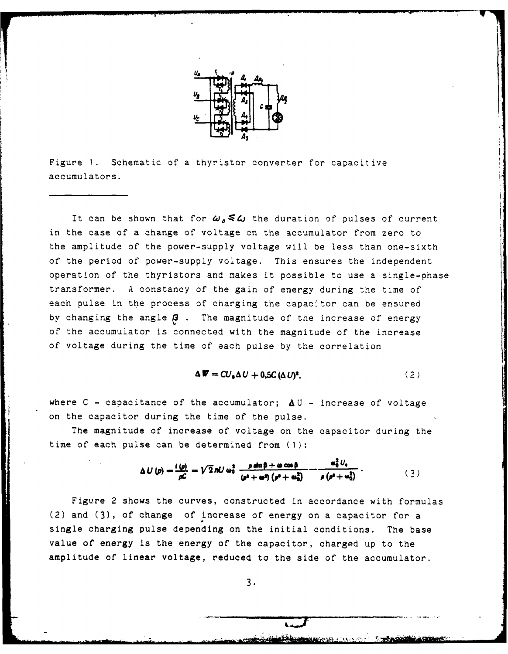

Figure **1.** Schematic of a thyristor converter for capacitive accumulators.

It can be shown that for  $\omega_{\rho} \leq \omega$  the duration of pulses of current in the case of a change of voltage on the accumulator from zero to the amplitude of the power-supply voltage will be less than one-sixth of the period of power-supply voltage. This ensures the independent operation of the thyristors and makes it possible to use a single-phase transformer. A constancy of the gain of energy during the time of each pulse in the process of charging the capac'tor can be ensured by changing the angle  $\beta$ . The magnitude of the increase of energy of the accumulator is connected with the magnitude of the increase of voltage during the time of each pulse by the correlation

$$
\Delta \mathbf{W} = CU_{\bullet} \Delta U + 0.5C (\Delta U)^{2}, \qquad (2)
$$

where  $C$  - capacitance of the accumulator;  $\Delta U$  - increase of voltage on the capacitor during the time of the pulse.

The magnitude of increase of voltage on the capacitor during the time of each pulse can be determined from (1):

$$
\Delta U\left(p\right) = \frac{i\left(p\right)}{\rho C} = \sqrt{2} n U \omega_0^2 \frac{\rho \sin \beta + \omega \cos \beta}{\left(p^2 + \omega^2\right) \left(\rho^2 + \omega_0^2\right)} - \frac{\omega_0^2 U_0}{\rho \left(p^2 + \omega_0^2\right)}\,. \tag{3}
$$

Figure 2 shows the curves, constructed in accordance with formulas (2) and **(3),** of change of increase of energy on a capacitor for a single charging pulse depending on the initial conditions. The base value of energy is the energy of the capacitor, charged up to the amplitude of linear voltage, reduced to the side of the accumulator.

**3.**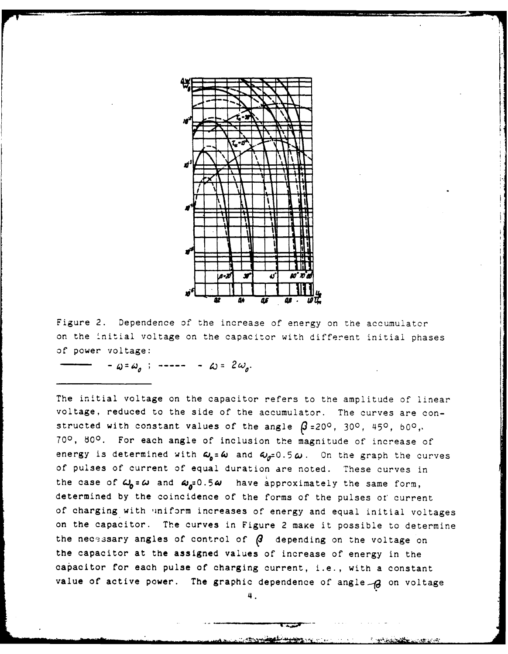

Figure 2. Dependence of the increase of energy on the accumulator on the initial voltage on the capacitor with different initial phases of power voltage:

 $-\omega = \omega_o$ ; -----  $-\omega = 2\omega_o$ .

The initial voltage on the capacitor refers to the amplitude of linear voltage, reduced to the side of the accumulator. The curves are constructed with constant values of the angle  $\beta$ =20<sup>o</sup>, 30<sup>o</sup>, 45<sup>o</sup>, 60<sup>o</sup>, **700, 800 .** For each angle of inclusion the magnitude of increase of energy is determined with  $\omega_0 = \omega$  and  $\omega_0 = 0.5 \omega$ . On the graph the curves of pulses of current of equal duration are noted. These curves in the case of  $\omega_0 = \omega$  and  $\omega_a = 0.5\omega$  have approximately the same form, determined by the coincidence of the forms of the pulses of current of charging with iniform increases of energy and equal initial voltages on the capacitor. The curves in Figure 2 make it possible to determine the necessary angles of control of  $\beta$  depending on the voltage on the capacitor at the assigned values of increase of energy in the capacitor for each pulse of charging current, i.e., with a constant value of active power. The graphic dependence of angle -8 on voltage

4.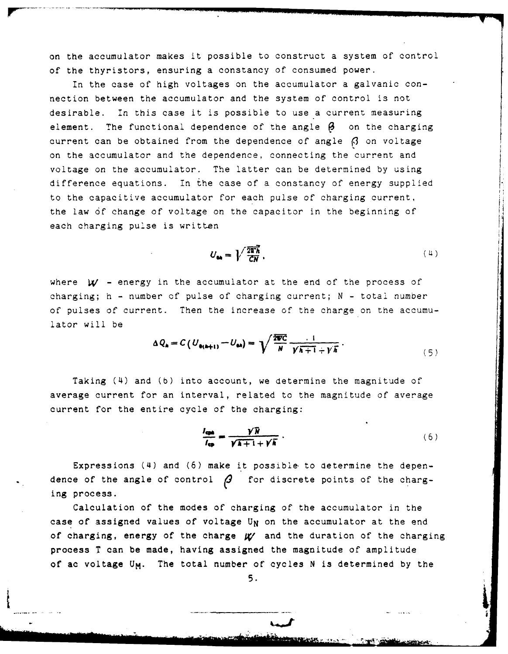on the accumulator makes it possible to construct a system of control of the thyristors, ensuring a constancy of consumed power.

In the case of high voltages on the accumulator a galvanic connection between the accumulator and the system of control is not desirable. In this case it is possible to use a current measuring element. The functional dependence of the angle **3** on the charging current can be obtained from the dependence of angle **(3** on voltage on the accumulator and the dependence, connecting the current and voltage on the accumulator. The latter can be determined by using difference equations. In the case of a constancy of energy supplied to the capacitive accumulator for each pulse of charging current, the law **6f** change of voltage on the capacitor in the beginning of each charging pulse is written

$$
U_{\rm on} = \sqrt{\frac{2\overline{v}_h}{CN}}\,,\tag{4}
$$

where  $w$  - energy in the accumulator at the end of the process of charging; h - number of pulse of charging current; N - total number of pulses of current. Then the increase of the charge on the accumulator will be

$$
\Delta Q_{\mathbf{a}} = C \left( U_{\mathbf{a}(\mathbf{a}+1)} - U_{\mathbf{a}\mathbf{a}} \right) = \sqrt{\frac{2 \pi C}{N}} \frac{1}{\gamma \overline{\mathbf{a}+1} + \gamma \overline{\mathbf{a}}} \,. \tag{5}
$$

Taking (4) and (b) into account, we determine the magnitude of average current for an interval, related to the magnitude of average current for the entire cycle of the charging:

$$
\frac{l_{\text{cpa}}}{l_{\text{cp}}} = \frac{\gamma \overline{N}}{\sqrt{\overline{A} + 1} + \gamma \overline{K}} \,. \tag{6}
$$

 $\mathbf{r}$ 

**In the control of the control of the control** 

Expressions (4) and (6) make it possible, to determine the dependence of the angle of control  $\beta$  for discrete points of the charging process.

Calculation of the modes of charging of the accumulator in the case of assigned values of voltage U<sub>N</sub> on the accumulator at the end **of** charging, energy of **the** charge **g/** and **the** duration of the charging **process** T can **be** made, having assigned the magnitude **of** amplitude **of ac voltage U<sub>M</sub>. The total number of cycles N is determined by the <b>5**.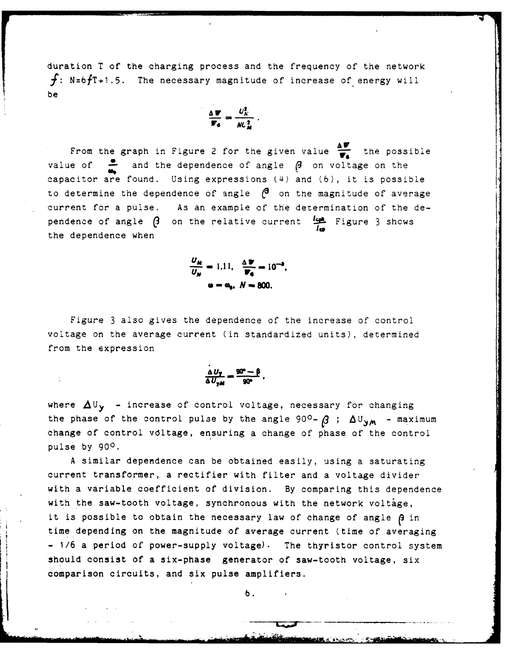duration T of the charging process and the frequency of the network  $f: N=6fT+1.5$ . The necessary magnitude of increase of energy will be

$$
\frac{\Delta \mathbf{w}}{\mathbf{w}_6} = \frac{U_K^2}{\mathcal{W} \mathcal{L}_M^2}.
$$

From the graph in Figure 2 for the given value  $\frac{\Delta V}{V}$  the possible value of  $\frac{•}{•}$  and the dependence of angle  $\beta$  on voltage on the capacitor are found. Using expressions (4) and (6), it is possible to determine the dependence of angle  $\beta$  on the magnitude of average current for a pulse. As an example of the determination of the dependence of angle  $\beta$  on the relative current  $\frac{1-\beta}{2}$  Figure 3 shows the dependence when

> **UM** <del>**u 111 A** *n* **10**<sup>-→</sup>**1**</del> **N W a-%.** *N-8MO.*

Figure **3** also gives the dependence of the increase of control voltage on the average current (in standardized units), determined from the expression

$$
\frac{\Delta U_{\gamma}}{\Delta U_{\gamma M}} = \frac{90^{\circ} - \beta}{90^{\circ}}.
$$

where  $\Delta U_y$  - increase of control voltage, necessary for changing the phase of the control pulse by the angle 90<sup>o</sup>-  $\beta$  ;  $\Delta U_{YM}$  - maximum change of control vdltage, ensuring a change of phase of the control pulse by **900.**

A similar dependence can be obtained easily, using a saturating current transformer, a rectifier with filter and a voltage divider with a variable coefficient of division. By comparing this dependence with the saw-tooth voltage, synchronous with the network voltage, it is possible to obtain the necessary law of change of angle  $\beta$  in time depending on the magnitude of average current (time of averaging - **1/6** a period of power-supply voltage). The thyristor control system should consist of a **six-phase generator** of saw-tooth voltage, six comparison circuits, and **six pulse amplifiers.**

*b.*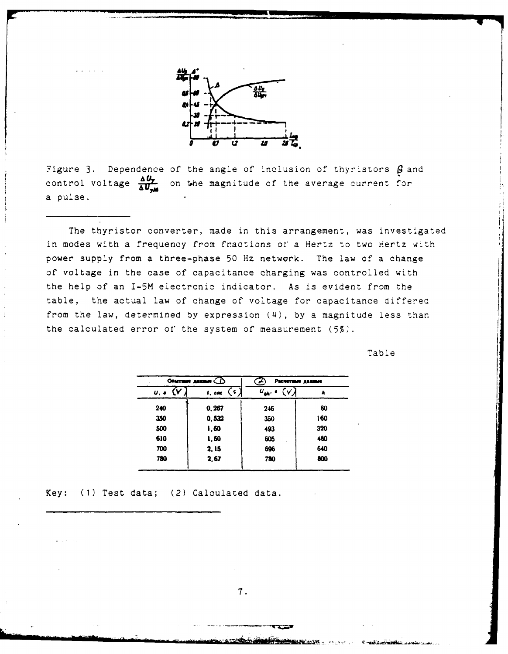

Figure 3. Dependence of the angle of inclusion of thyristors  $\beta$  and control voltage  $\frac{\Delta U_T}{\Delta U_{\rm max}}$ on the magnitude of the average current for a pulse.

The thyristor converter, made in this arrangement, was investigated in modes with a frequency from fractions of a Hertz to two Hertz with power supply from a three-phase 50 Hz network. The law of a change of voltage in the case of capacitance charging was controlled with the help of an I-5M electronic indicator. As is evident from the table, the actual law of change of voltage for capacitance differed from the law, determined by expression (4), by a magnitude less than the calculated error of the system of measurement  $(5\frac{g}{2})$ .

Table

| Опытние данные ( |                             | Расчетные данные<br>∽             |     |
|------------------|-----------------------------|-----------------------------------|-----|
| $U, \bullet$     | $\overline{G}$<br>$l$ , can | $U_{\mathbf{0}\mathbf{h}}$ .<br>V | ۸   |
| 240              | 0.267                       | 246                               | 80  |
| 350              | 0.532                       | 350                               | 160 |
| 500              | 1,60                        | 493                               | 320 |
| 610              | 1,60                        | 605                               | 480 |
| 700              | 2.15                        | 696                               | 640 |
| 780              | 2,67                        | 780                               | 800 |
|                  |                             |                                   |     |

Key: (1) Test data; (2) Calculated data.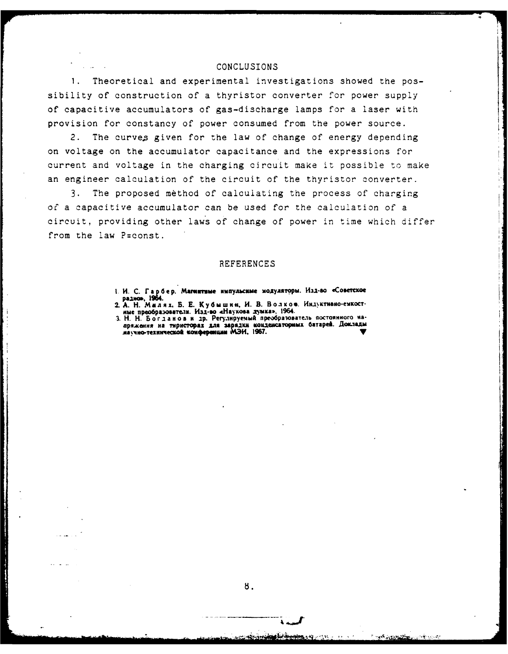### CONCLUSIONS

 $1.$ Theoretical and experimental investigations showed the possibility of construction of a thyristor converter for power supply of capacitive accumulators of gas-discharge lamps for a laser with provision for constancy of power consumed from the power source.

2. The curves given for the law of change of energy depending on voltage on the accumulator capacitance and the expressions for current and voltage in the charging circuit make it possible to make an engineer calculation of the circuit of the thyristor converter.

The proposed method of calculating the process of charging  $3.$ of a capacitive accumulator can be used for the calculation of a circuit, providing other laws of change of power in time which differ from the law P=const.

### **REFERENCES**

- 1. И. С. Гарбер. Магнитные импульсные модуляторы. Изд-во «Советское раднов, 1964.
- 2. А. Н. Милях, Б. Е. Кубышин, И. В. Волков. Индуктивно-емкост-<br>име преобразователи. Изд-во «Наукова думка», 1964.
- 3. Н. Н. Богданов и др. Регулируемый преобразователь постоянного наии по с по да по по присторах для зарядки конденсаторных батарей. Доклады<br>изучно-технической конференции МЭИ, 1967.

8.

**Alternation**